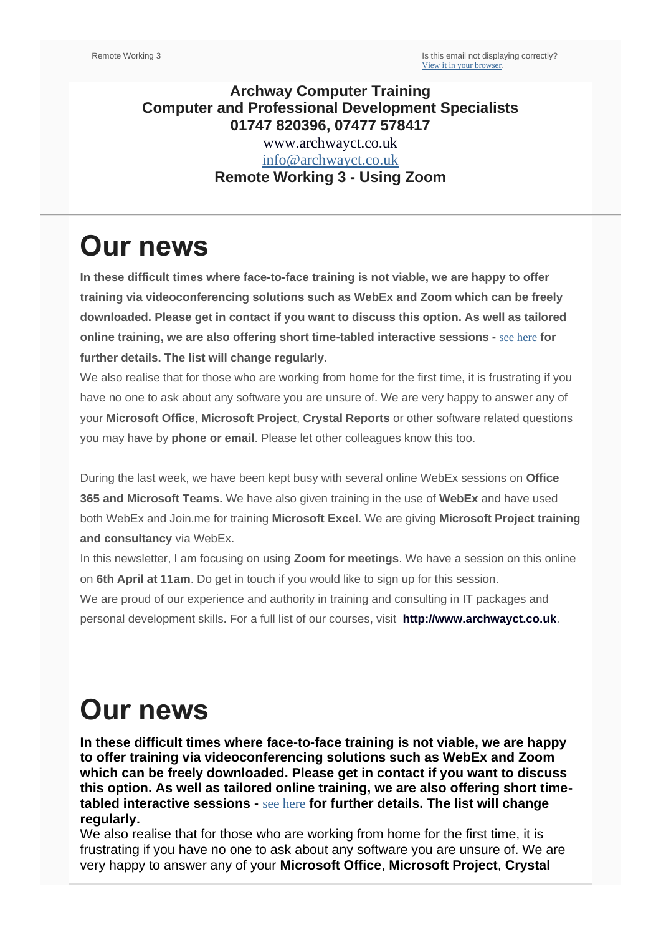#### **Archway Computer Training Computer and Professional Development Specialists 01747 820396, 07477 578417** [www.archwayct.co.uk](http://www.archwayct.co.uk/)

[info@archwayct.co.uk](mailto:%20info@archwayct.co.uk) **Remote Working 3 - Using Zoom**

## **Our news**

**In these difficult times where face-to-face training is not viable, we are happy to offer training via videoconferencing solutions such as WebEx and Zoom which can be freely downloaded. Please get in contact if you want to discuss this option. As well as tailored online training, we are also offering short time-tabled interactive sessions -** [see here](http://www.archwayct.co.uk/online-training) **for further details. The list will change regularly.**

We also realise that for those who are working from home for the first time, it is frustrating if you have no one to ask about any software you are unsure of. We are very happy to answer any of your **Microsoft Office**, **Microsoft Project**, **Crystal Reports** or other software related questions you may have by **phone or email**. Please let other colleagues know this too.

During the last week, we have been kept busy with several online WebEx sessions on **Office 365 and Microsoft Teams.** We have also given training in the use of **WebEx** and have used both WebEx and Join.me for training **Microsoft Excel**. We are giving **Microsoft Project training and consultancy** via WebEx.

In this newsletter, I am focusing on using **Zoom for meetings**. We have a session on this online on **6th April at 11am**. Do get in touch if you would like to sign up for this session.

We are proud of our experience and authority in training and consulting in IT packages and personal development skills. For a full list of our courses, visit **[http://www.archwayct.co.uk](http://www.archwayct.co.uk/)**.

## **Our news**

**In these difficult times where face-to-face training is not viable, we are happy to offer training via videoconferencing solutions such as WebEx and Zoom which can be freely downloaded. Please get in contact if you want to discuss this option. As well as tailored online training, we are also offering short timetabled interactive sessions -** [see here](http://www.archwayct.co.uk/online-training) **for further details. The list will change regularly.**

We also realise that for those who are working from home for the first time, it is frustrating if you have no one to ask about any software you are unsure of. We are very happy to answer any of your **Microsoft Office**, **Microsoft Project**, **Crystal**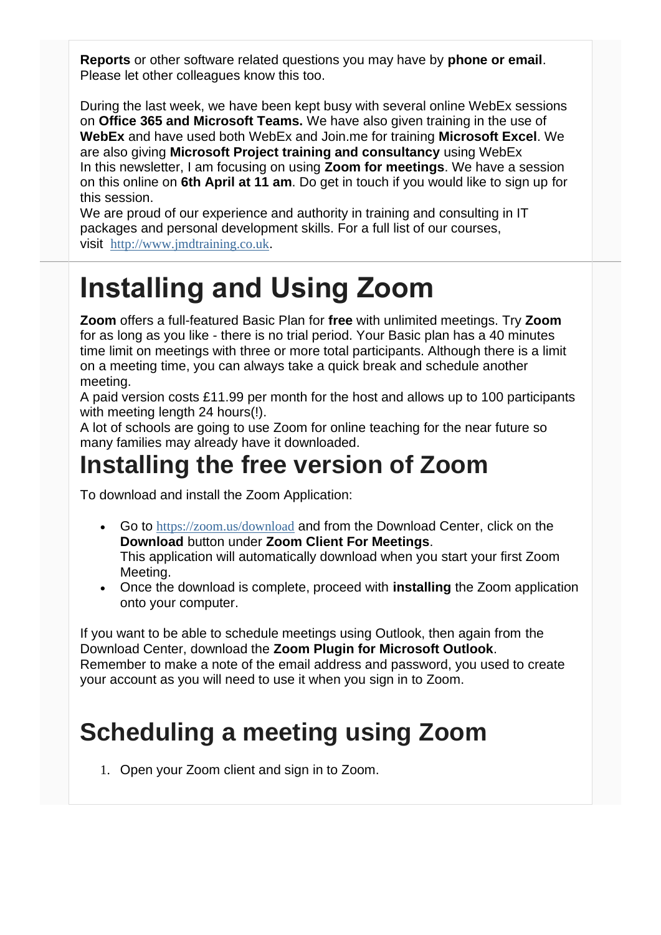**Reports** or other software related questions you may have by **phone or email**. Please let other colleagues know this too.

During the last week, we have been kept busy with several online WebEx sessions on **Office 365 and Microsoft Teams.** We have also given training in the use of **WebEx** and have used both WebEx and Join.me for training **Microsoft Excel**. We are also giving **Microsoft Project training and consultancy** using WebEx In this newsletter, I am focusing on using **Zoom for meetings**. We have a session on this online on **6th April at 11 am**. Do get in touch if you would like to sign up for this session.

We are proud of our experience and authority in training and consulting in IT packages and personal development skills. For a full list of our courses, visit [http://www.jmdtraining.co.uk](http://www.archwayct.co.uk/).

# **Installing and Using Zoom**

**Zoom** offers a full-featured Basic Plan for **free** with unlimited meetings. Try **Zoom** for as long as you like - there is no trial period. Your Basic plan has a 40 minutes time limit on meetings with three or more total participants. Although there is a limit on a meeting time, you can always take a quick break and schedule another meeting.

A paid version costs £11.99 per month for the host and allows up to 100 participants with meeting length 24 hours(!).

A lot of schools are going to use Zoom for online teaching for the near future so many families may already have it downloaded.

#### **Installing the free version of Zoom**

To download and install the Zoom Application:

- Go to <https://zoom.us/download> and from the Download Center, click on the **Download** button under **Zoom Client For Meetings**. This application will automatically download when you start your first Zoom Meeting.
- Once the download is complete, proceed with **installing** the Zoom application onto your computer.

If you want to be able to schedule meetings using Outlook, then again from the Download Center, download the **Zoom Plugin for Microsoft Outlook**. Remember to make a note of the email address and password, you used to create your account as you will need to use it when you sign in to Zoom.

## **Scheduling a meeting using Zoom**

1. Open your Zoom client and sign in to Zoom.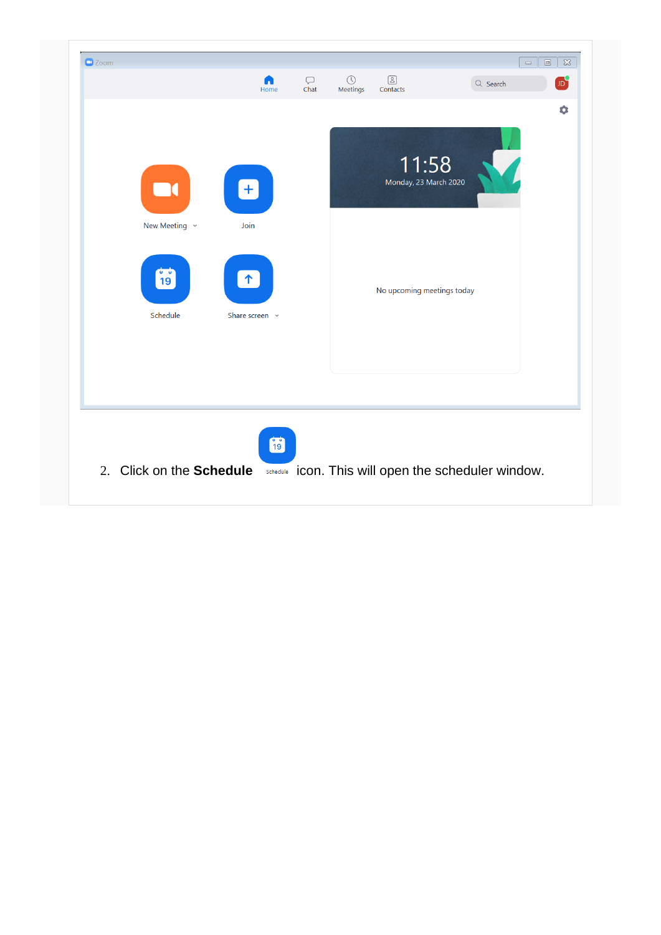|                            |                              |  |                                | $\bullet$ |
|----------------------------|------------------------------|--|--------------------------------|-----------|
| New Meeting $\sim$         | $\left[ + \right]$<br>Join   |  | 11:58<br>Monday, 23 March 2020 |           |
| $\frac{1}{19}$<br>Schedule | $\uparrow$<br>Share screen v |  | No upcoming meetings today     |           |
|                            | 的                            |  |                                |           |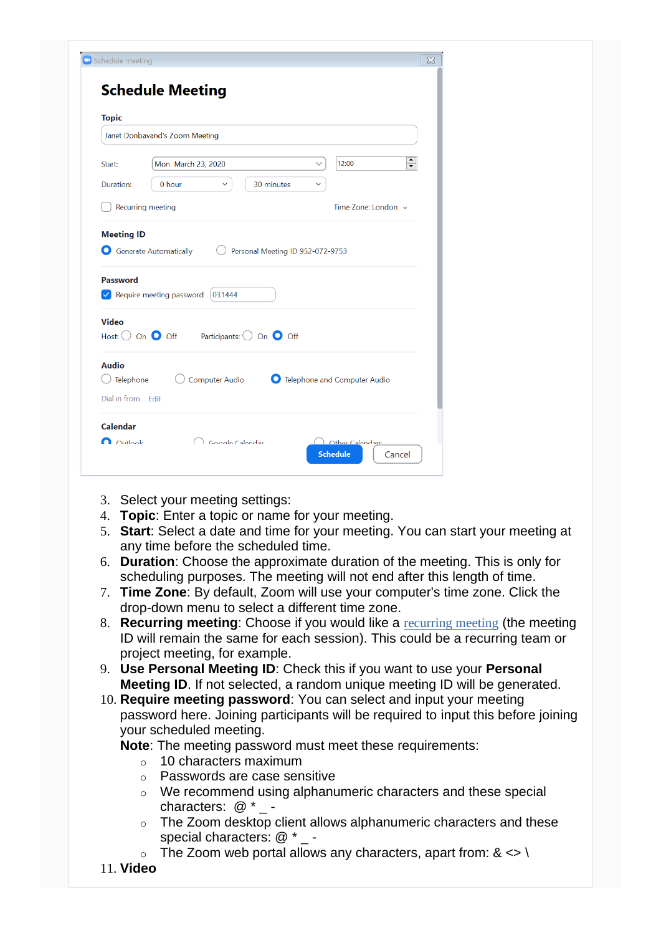| <b>Topic</b>                                                                                                                 |                                                                               |
|------------------------------------------------------------------------------------------------------------------------------|-------------------------------------------------------------------------------|
|                                                                                                                              | Janet Donbavand's Zoom Meeting                                                |
| Start:                                                                                                                       | ۸<br>12:00<br>Mon March 23, 2020<br>▼                                         |
| Duration:                                                                                                                    | 30 minutes<br>0 hour<br>$\checkmark$<br>$\checkmark$                          |
| Recurring meeting                                                                                                            | Time Zone: London ~                                                           |
|                                                                                                                              | Personal Meeting ID 952-072-9753<br>$\vee$ Require meeting password<br>031444 |
|                                                                                                                              | Participants: $\bigcirc$ On $\bigcirc$ Off                                    |
| Generate Automatically<br><b>Password</b><br><b>Video</b><br>Host: $\bigcirc$ On $\bigcirc$ Off<br><b>Audio</b><br>Telephone | Computer Audio<br>O<br>Telephone and Computer Audio                           |

- 3. Select your meeting settings:
- 4. **Topic**: Enter a topic or name for your meeting.
- 5. **Start**: Select a date and time for your meeting. You can start your meeting at any time before the scheduled time.
- 6. **Duration**: Choose the approximate duration of the meeting. This is only for scheduling purposes. The meeting will not end after this length of time.
- 7. **Time Zone**: By default, Zoom will use your computer's time zone. Click the drop-down menu to select a different time zone.
- 8. **Recurring meeting**: Choose if you would like a [recurring meeting](https://support.zoom.us/hc/en-us/articles/214973206) (the meeting ID will remain the same for each session). This could be a recurring team or project meeting, for example.
- 9. **Use Personal Meeting ID**: Check this if you want to use your **Personal Meeting ID**. If not selected, a random unique meeting ID will be generated.
- 10. **Require meeting password**: You can select and input your meeting password here. Joining participants will be required to input this before joining your scheduled meeting.

**Note**: The meeting password must meet these requirements:

- $\circ$  10 characters maximum
- o Passwords are case sensitive
- o We recommend using alphanumeric characters and these special characters:  $@{\rightarrow}$  -
- o The Zoom desktop client allows alphanumeric characters and these special characters: @ \* -
- $\circ$  The Zoom web portal allows any characters, apart from: &  $\lt$ > \
- 11. **Video**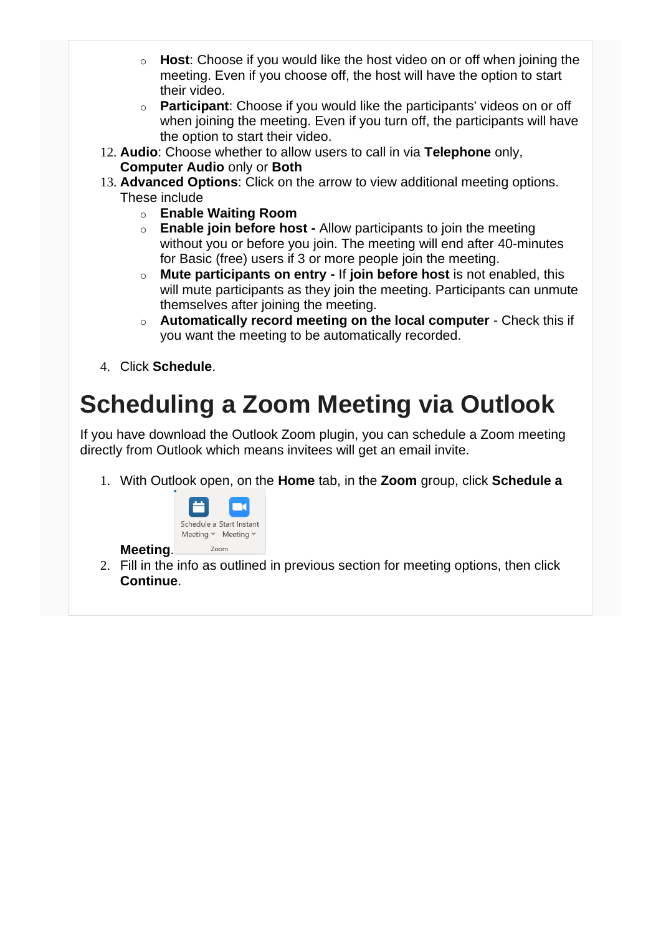- o **Host**: Choose if you would like the host video on or off when joining the meeting. Even if you choose off, the host will have the option to start their video.
- o **Participant**: Choose if you would like the participants' videos on or off when joining the meeting. Even if you turn off, the participants will have the option to start their video.
- 12. **Audio**: Choose whether to allow users to call in via **Telephone** only, **Computer Audio** only or **Both**
- 13. **Advanced Options**: Click on the arrow to view additional meeting options. These include
	- o **Enable Waiting Room**
	- o **Enable join before host -** Allow participants to join the meeting without you or before you join. The meeting will end after 40-minutes for Basic (free) users if 3 or more people join the meeting.
	- o **Mute participants on entry -** If **join before host** is not enabled, this will mute participants as they join the meeting. Participants can unmute themselves after joining the meeting.
	- o **Automatically record meeting on the local computer**  Check this if you want the meeting to be automatically recorded.
- 4. Click **Schedule**.

**Meeting**.

## **Scheduling a Zoom Meeting via Outlook**

If you have download the Outlook Zoom plugin, you can schedule a Zoom meeting directly from Outlook which means invitees will get an email invite.

1. With Outlook open, on the **Home** tab, in the **Zoom** group, click **Schedule a** 



2. Fill in the info as outlined in previous section for meeting options, then click **Continue**.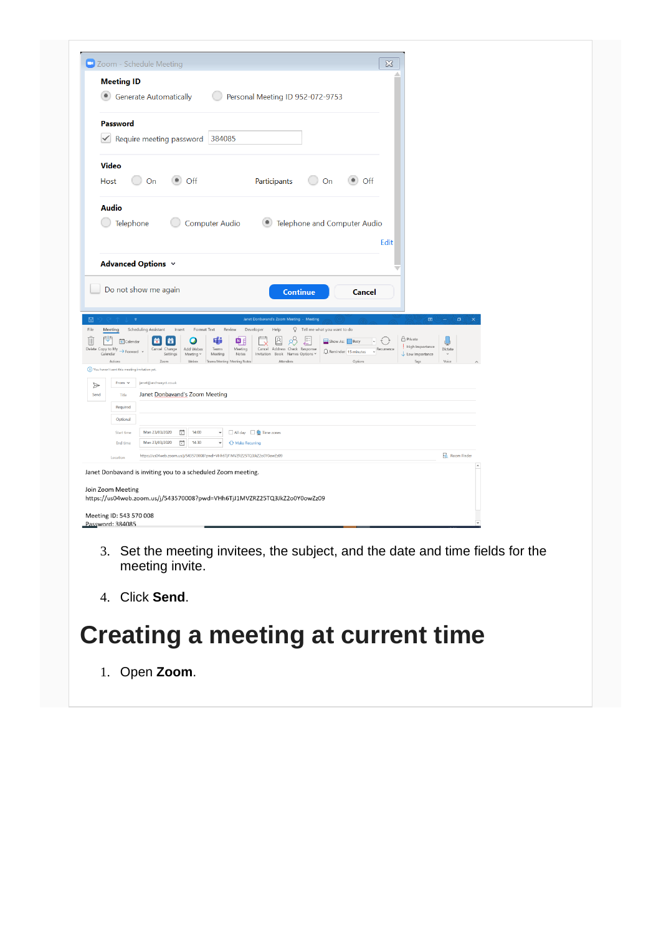| <b>Meeting ID</b>                                                                          |                                                                                                                       |                                                                            |                                                                                                               |                                                                                                                                        |                      |             |                                                       |                    |  |
|--------------------------------------------------------------------------------------------|-----------------------------------------------------------------------------------------------------------------------|----------------------------------------------------------------------------|---------------------------------------------------------------------------------------------------------------|----------------------------------------------------------------------------------------------------------------------------------------|----------------------|-------------|-------------------------------------------------------|--------------------|--|
|                                                                                            | <b>Generate Automatically</b>                                                                                         |                                                                            | Personal Meeting ID 952-072-9753                                                                              |                                                                                                                                        |                      |             |                                                       |                    |  |
| Password                                                                                   |                                                                                                                       |                                                                            |                                                                                                               |                                                                                                                                        |                      |             |                                                       |                    |  |
|                                                                                            | Require meeting password 384085                                                                                       |                                                                            |                                                                                                               |                                                                                                                                        |                      |             |                                                       |                    |  |
| <b>Video</b>                                                                               |                                                                                                                       |                                                                            |                                                                                                               |                                                                                                                                        |                      |             |                                                       |                    |  |
| Host                                                                                       | $\bullet$ off<br>On                                                                                                   |                                                                            | Participants                                                                                                  | On                                                                                                                                     | Off                  |             |                                                       |                    |  |
| <b>Audio</b>                                                                               |                                                                                                                       |                                                                            |                                                                                                               |                                                                                                                                        |                      |             |                                                       |                    |  |
| G Telephone                                                                                |                                                                                                                       | <b>Computer Audio</b>                                                      | $\left( \bullet \right)$                                                                                      | Telephone and Computer Audio                                                                                                           |                      |             |                                                       |                    |  |
|                                                                                            |                                                                                                                       |                                                                            |                                                                                                               |                                                                                                                                        |                      | <b>Edit</b> |                                                       |                    |  |
|                                                                                            |                                                                                                                       |                                                                            |                                                                                                               |                                                                                                                                        |                      |             |                                                       |                    |  |
|                                                                                            |                                                                                                                       |                                                                            |                                                                                                               |                                                                                                                                        |                      |             |                                                       |                    |  |
|                                                                                            | Advanced Options v                                                                                                    |                                                                            |                                                                                                               |                                                                                                                                        |                      |             |                                                       |                    |  |
|                                                                                            | Do not show me again                                                                                                  |                                                                            | <b>Continue</b>                                                                                               |                                                                                                                                        | <b>Cancel</b>        |             |                                                       |                    |  |
| $\overline{v}$                                                                             |                                                                                                                       |                                                                            | Janet Donbavand's Zoom Meeting - Meeting                                                                      |                                                                                                                                        |                      |             | $\overline{\text{CD}}$                                | $\sigma$<br>$\sim$ |  |
| Meeting<br>Æ<br><b>■</b> Calendar<br>$\rightarrow$ Forward $\sim$                          | <b>Scheduling Assistant</b><br>Insert<br>黃<br><b>list</b><br>O<br>Add Webex<br>Cancel Change<br>Settings<br>Meeting v | Format Text<br>Review<br>tj)<br>中国<br>Meeting<br>Teams<br>Notes<br>Meeting | Developer<br>Help<br>$\boxtimes$<br>$R^3$<br>Cancel Address Check Response<br>Invitation Book Names Options v | V Tell me what you want to do<br>$\overbrace{\phantom{\Big\vert}}^{\hspace{-0.5mm}0\hspace{-0.5mm}-\hspace{-0.5mm}1}$<br>Show As: Busy | Reminder: 15 minutes | Recurrence  | <b>A</b> Private<br>High Importance<br>Low Importance | Dictate            |  |
| Action                                                                                     | Zoom<br>Webex                                                                                                         | Teams Meeting Meeting Notes                                                | Attendee                                                                                                      |                                                                                                                                        | Option               |             |                                                       | Voice              |  |
| From $\, \vee \,$                                                                          | janet@archwayct.co.uk                                                                                                 |                                                                            |                                                                                                               |                                                                                                                                        |                      |             |                                                       |                    |  |
| Title                                                                                      | Janet Donbavand's Zoom Meeting                                                                                        |                                                                            |                                                                                                               |                                                                                                                                        |                      |             |                                                       |                    |  |
| Required                                                                                   |                                                                                                                       |                                                                            |                                                                                                               |                                                                                                                                        |                      |             |                                                       |                    |  |
| Optional                                                                                   |                                                                                                                       |                                                                            |                                                                                                               |                                                                                                                                        |                      |             |                                                       |                    |  |
| Start time                                                                                 | Mon 23/03/2020<br>14:00<br>€                                                                                          | $\overline{\phantom{a}}$                                                   | All day $\Box$ <b>@</b> Time zones                                                                            |                                                                                                                                        |                      |             |                                                       |                    |  |
| End time                                                                                   | Ħ<br>Mon 23/03/2020<br>14:30                                                                                          | <b>O</b> Make Recurring<br>$\overline{\phantom{a}}$                        |                                                                                                               |                                                                                                                                        |                      |             |                                                       |                    |  |
| Location                                                                                   | https://us04web.zoom.us/j/543570008?pwd=VHh6TjJ1MVZRZ25TQ3JkZ2o0Y0owZz09                                              |                                                                            |                                                                                                               |                                                                                                                                        |                      |             |                                                       | Room Finder        |  |
| Delete Copy to My<br>Calendar<br>(1) You haven't sent this meeting invitation yet.<br>Send | Janet Donbavand is inviting you to a scheduled Zoom meeting.                                                          |                                                                            |                                                                                                               |                                                                                                                                        |                      |             |                                                       |                    |  |

- 3. Set the meeting invitees, the subject, and the date and time fields for the meeting invite.
- 4. Click **Send**.

#### **Creating a meeting at current time**

1. Open **Zoom**.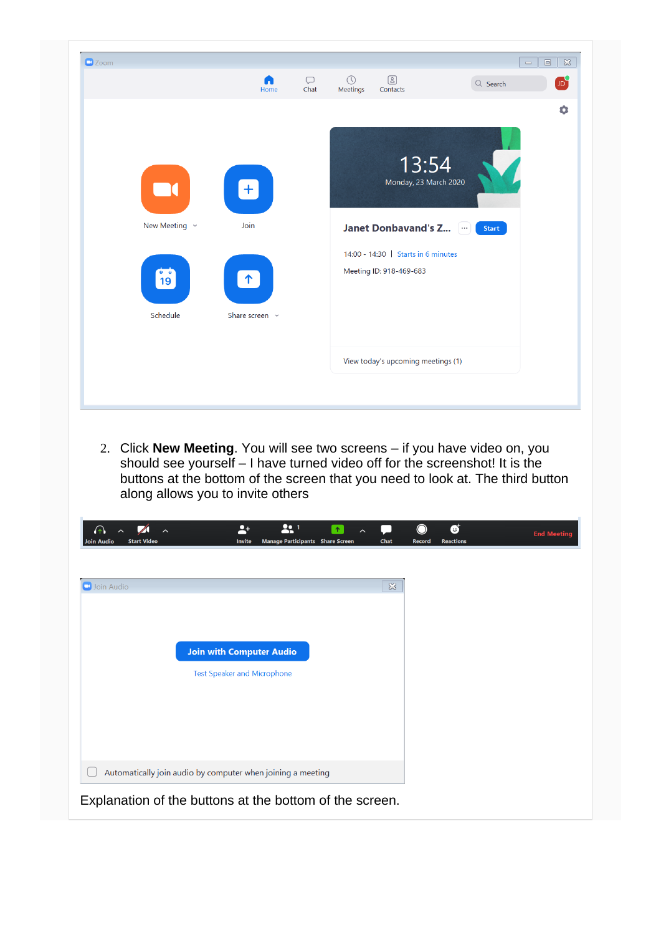| New Meeting $\sim$<br>$\mathbf{o}$ $\mathbf{o}$ | Join                |                                                                        |
|-------------------------------------------------|---------------------|------------------------------------------------------------------------|
|                                                 |                     | <b>Janet Donbavand's Z</b><br>$\overline{\phantom{a}}$<br><b>Start</b> |
| 19<br>Schedule                                  | Share screen $\sim$ | 14:00 - 14:30   Starts in 6 minutes<br>Meeting ID: 918-469-683         |
|                                                 |                     | View today's upcoming meetings (1)                                     |

| Join Audio                                                            | $\boldsymbol{\Sigma}$ |
|-----------------------------------------------------------------------|-----------------------|
|                                                                       |                       |
|                                                                       |                       |
| <b>Join with Computer Audio</b><br><b>Test Speaker and Microphone</b> |                       |
|                                                                       |                       |
|                                                                       |                       |
|                                                                       |                       |
| Automatically join audio by computer when joining a meeting           |                       |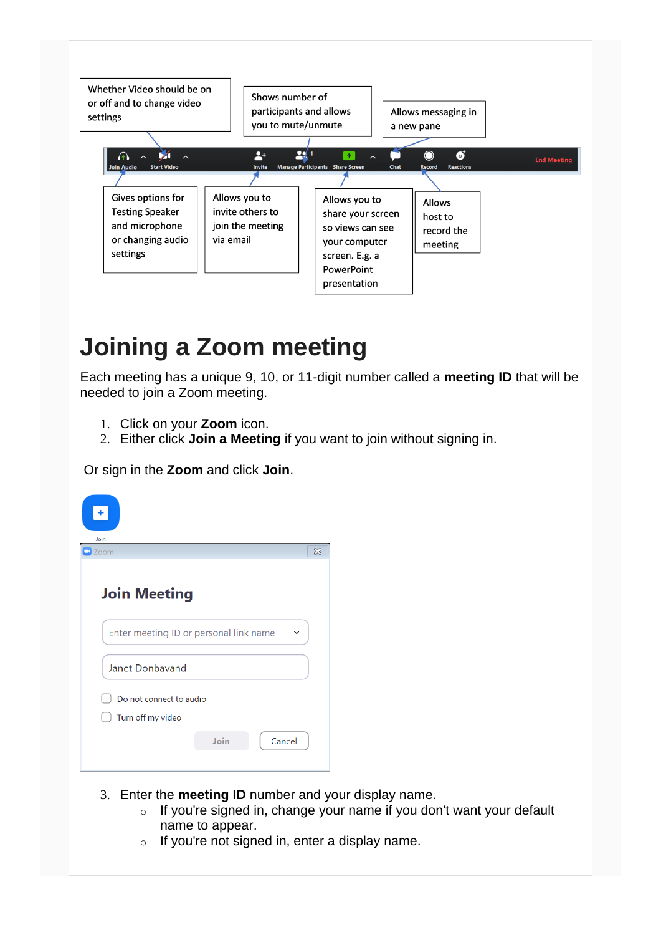

#### **Joining a Zoom meeting**

Each meeting has a unique 9, 10, or 11-digit number called a **meeting ID** that will be needed to join a Zoom meeting.

- 1. Click on your **Zoom** icon.
- 2. Either click **Join a Meeting** if you want to join without signing in.

Or sign in the **Zoom** and click **Join**.

| $\pm$<br>Join                                                 |      |        |          |
|---------------------------------------------------------------|------|--------|----------|
| Zoom<br>$\Box$                                                |      |        | $\infty$ |
| <b>Join Meeting</b><br>Enter meeting ID or personal link name |      |        |          |
| Janet Donbavand                                               |      |        |          |
| Do not connect to audio                                       |      |        |          |
| Turn off my video                                             |      |        |          |
|                                                               | Join | Cancel |          |

- 3. Enter the **meeting ID** number and your display name.
	- o If you're signed in, change your name if you don't want your default name to appear.
	- $\circ$  If you're not signed in, enter a display name.